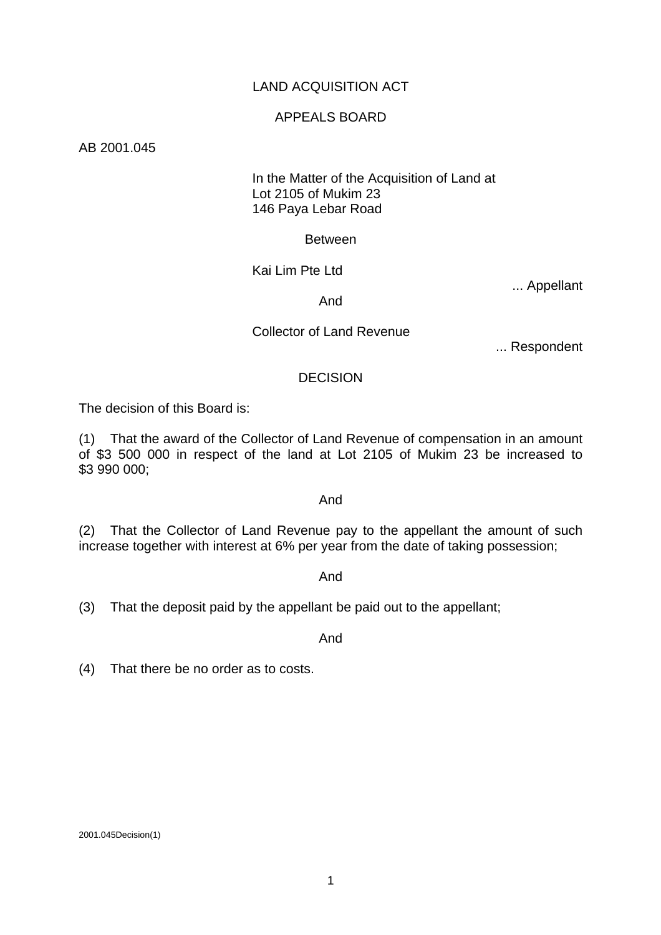# LAND ACQUISITION ACT

### APPEALS BOARD

AB 2001.045

# In the Matter of the Acquisition of Land at Lot 2105 of Mukim 23 146 Paya Lebar Road

### Between

Kai Lim Pte Ltd

... Appellant

And

Collector of Land Revenue

... Respondent

### **DECISION**

The decision of this Board is:

(1) That the award of the Collector of Land Revenue of compensation in an amount of \$3 500 000 in respect of the land at Lot 2105 of Mukim 23 be increased to \$3 990 000;

### And

(2) That the Collector of Land Revenue pay to the appellant the amount of such increase together with interest at 6% per year from the date of taking possession;

### And

(3) That the deposit paid by the appellant be paid out to the appellant;

And

(4) That there be no order as to costs.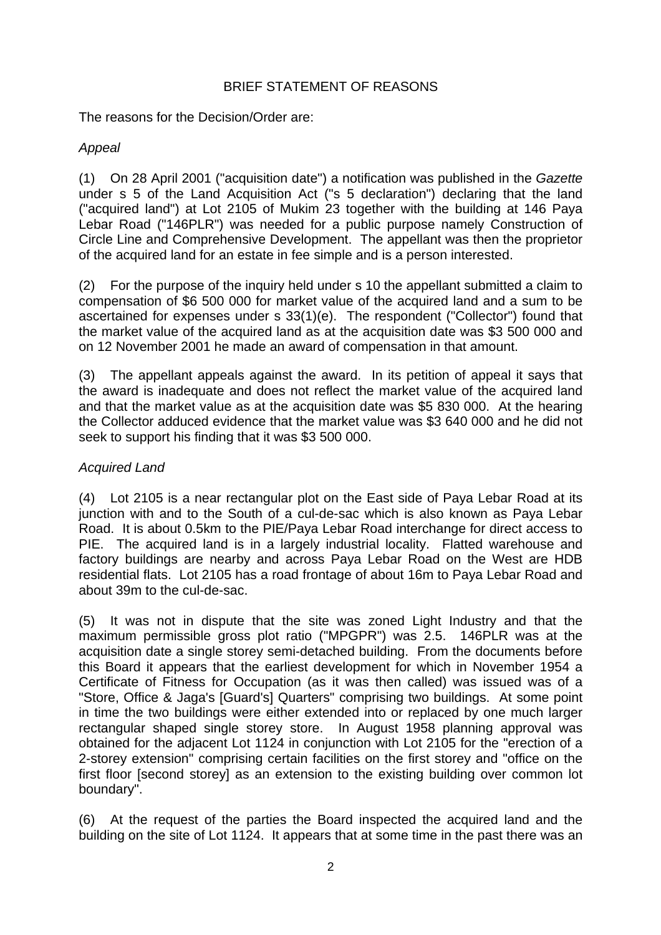# BRIEF STATEMENT OF REASONS

The reasons for the Decision/Order are:

# *Appeal*

(1) On 28 April 2001 ("acquisition date") a notification was published in the *Gazette* under s 5 of the Land Acquisition Act ("s 5 declaration") declaring that the land ("acquired land") at Lot 2105 of Mukim 23 together with the building at 146 Paya Lebar Road ("146PLR") was needed for a public purpose namely Construction of Circle Line and Comprehensive Development. The appellant was then the proprietor of the acquired land for an estate in fee simple and is a person interested.

(2) For the purpose of the inquiry held under s 10 the appellant submitted a claim to compensation of \$6 500 000 for market value of the acquired land and a sum to be ascertained for expenses under s 33(1)(e). The respondent ("Collector") found that the market value of the acquired land as at the acquisition date was \$3 500 000 and on 12 November 2001 he made an award of compensation in that amount.

(3) The appellant appeals against the award. In its petition of appeal it says that the award is inadequate and does not reflect the market value of the acquired land and that the market value as at the acquisition date was \$5 830 000. At the hearing the Collector adduced evidence that the market value was \$3 640 000 and he did not seek to support his finding that it was \$3 500 000.

# *Acquired Land*

(4) Lot 2105 is a near rectangular plot on the East side of Paya Lebar Road at its junction with and to the South of a cul-de-sac which is also known as Paya Lebar Road. It is about 0.5km to the PIE/Paya Lebar Road interchange for direct access to PIE. The acquired land is in a largely industrial locality. Flatted warehouse and factory buildings are nearby and across Paya Lebar Road on the West are HDB residential flats. Lot 2105 has a road frontage of about 16m to Paya Lebar Road and about 39m to the cul-de-sac.

(5) It was not in dispute that the site was zoned Light Industry and that the maximum permissible gross plot ratio ("MPGPR") was 2.5. 146PLR was at the acquisition date a single storey semi-detached building. From the documents before this Board it appears that the earliest development for which in November 1954 a Certificate of Fitness for Occupation (as it was then called) was issued was of a "Store, Office & Jaga's [Guard's] Quarters" comprising two buildings. At some point in time the two buildings were either extended into or replaced by one much larger rectangular shaped single storey store. In August 1958 planning approval was obtained for the adjacent Lot 1124 in conjunction with Lot 2105 for the "erection of a 2-storey extension" comprising certain facilities on the first storey and "office on the first floor [second storey] as an extension to the existing building over common lot boundary".

(6) At the request of the parties the Board inspected the acquired land and the building on the site of Lot 1124. It appears that at some time in the past there was an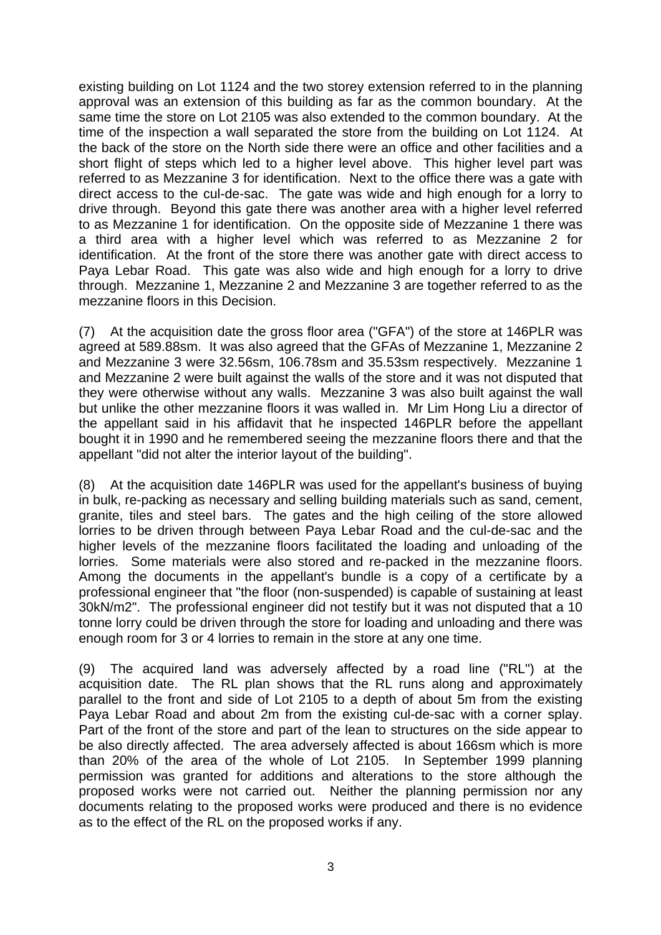existing building on Lot 1124 and the two storey extension referred to in the planning approval was an extension of this building as far as the common boundary. At the same time the store on Lot 2105 was also extended to the common boundary. At the time of the inspection a wall separated the store from the building on Lot 1124. At the back of the store on the North side there were an office and other facilities and a short flight of steps which led to a higher level above. This higher level part was referred to as Mezzanine 3 for identification. Next to the office there was a gate with direct access to the cul-de-sac. The gate was wide and high enough for a lorry to drive through. Beyond this gate there was another area with a higher level referred to as Mezzanine 1 for identification. On the opposite side of Mezzanine 1 there was a third area with a higher level which was referred to as Mezzanine 2 for identification. At the front of the store there was another gate with direct access to Paya Lebar Road. This gate was also wide and high enough for a lorry to drive through. Mezzanine 1, Mezzanine 2 and Mezzanine 3 are together referred to as the mezzanine floors in this Decision.

(7) At the acquisition date the gross floor area ("GFA") of the store at 146PLR was agreed at 589.88sm. It was also agreed that the GFAs of Mezzanine 1, Mezzanine 2 and Mezzanine 3 were 32.56sm, 106.78sm and 35.53sm respectively. Mezzanine 1 and Mezzanine 2 were built against the walls of the store and it was not disputed that they were otherwise without any walls. Mezzanine 3 was also built against the wall but unlike the other mezzanine floors it was walled in. Mr Lim Hong Liu a director of the appellant said in his affidavit that he inspected 146PLR before the appellant bought it in 1990 and he remembered seeing the mezzanine floors there and that the appellant "did not alter the interior layout of the building".

(8) At the acquisition date 146PLR was used for the appellant's business of buying in bulk, re-packing as necessary and selling building materials such as sand, cement, granite, tiles and steel bars. The gates and the high ceiling of the store allowed lorries to be driven through between Paya Lebar Road and the cul-de-sac and the higher levels of the mezzanine floors facilitated the loading and unloading of the lorries. Some materials were also stored and re-packed in the mezzanine floors. Among the documents in the appellant's bundle is a copy of a certificate by a professional engineer that "the floor (non-suspended) is capable of sustaining at least 30kN/m2". The professional engineer did not testify but it was not disputed that a 10 tonne lorry could be driven through the store for loading and unloading and there was enough room for 3 or 4 lorries to remain in the store at any one time.

(9) The acquired land was adversely affected by a road line ("RL") at the acquisition date. The RL plan shows that the RL runs along and approximately parallel to the front and side of Lot 2105 to a depth of about 5m from the existing Paya Lebar Road and about 2m from the existing cul-de-sac with a corner splay. Part of the front of the store and part of the lean to structures on the side appear to be also directly affected. The area adversely affected is about 166sm which is more than 20% of the area of the whole of Lot 2105. In September 1999 planning permission was granted for additions and alterations to the store although the proposed works were not carried out. Neither the planning permission nor any documents relating to the proposed works were produced and there is no evidence as to the effect of the RL on the proposed works if any.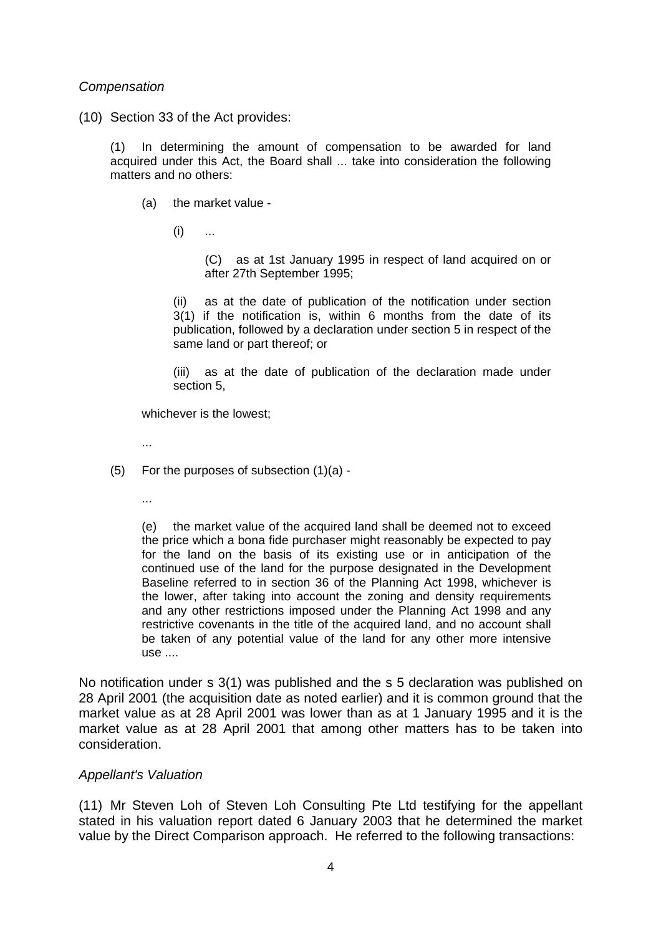### *Compensation*

(10) Section 33 of the Act provides:

(1) In determining the amount of compensation to be awarded for land acquired under this Act, the Board shall ... take into consideration the following matters and no others:

(a) the market value -

 $(i)$  ...

(C) as at 1st January 1995 in respect of land acquired on or after 27th September 1995;

(ii) as at the date of publication of the notification under section 3(1) if the notification is, within 6 months from the date of its publication, followed by a declaration under section 5 in respect of the same land or part thereof; or

(iii) as at the date of publication of the declaration made under section 5,

whichever is the lowest;

...

- (5) For the purposes of subsection (1)(a)
	- ...

(e) the market value of the acquired land shall be deemed not to exceed the price which a bona fide purchaser might reasonably be expected to pay for the land on the basis of its existing use or in anticipation of the continued use of the land for the purpose designated in the Development Baseline referred to in section 36 of the Planning Act 1998, whichever is the lower, after taking into account the zoning and density requirements and any other restrictions imposed under the Planning Act 1998 and any restrictive covenants in the title of the acquired land, and no account shall be taken of any potential value of the land for any other more intensive use ....

No notification under s 3(1) was published and the s 5 declaration was published on 28 April 2001 (the acquisition date as noted earlier) and it is common ground that the market value as at 28 April 2001 was lower than as at 1 January 1995 and it is the market value as at 28 April 2001 that among other matters has to be taken into consideration.

### *Appellant's Valuation*

(11) Mr Steven Loh of Steven Loh Consulting Pte Ltd testifying for the appellant stated in his valuation report dated 6 January 2003 that he determined the market value by the Direct Comparison approach. He referred to the following transactions: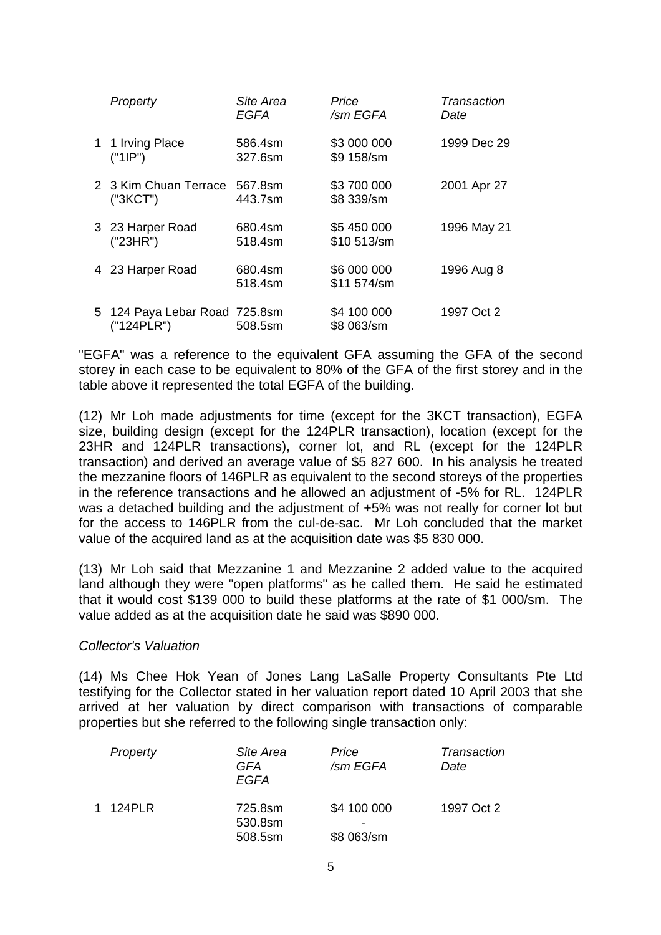| Property                                    | Site Area<br><b>EGFA</b> | Price<br>/sm EGFA          | Transaction<br>Date |
|---------------------------------------------|--------------------------|----------------------------|---------------------|
| 1 1 Irving Place<br>("1IP")                 | 586.4sm<br>327.6sm       | \$3 000 000<br>\$9 158/sm  | 1999 Dec 29         |
| 2 3 Kim Chuan Terrace<br>("3KCT")           | 567.8sm<br>443.7sm       | \$3 700 000<br>\$8 339/sm  | 2001 Apr 27         |
| 3 23 Harper Road<br>("23HR")                | 680.4sm<br>518.4sm       | \$5 450 000<br>\$10 513/sm | 1996 May 21         |
| 4 23 Harper Road                            | 680.4sm<br>518.4sm       | \$6 000 000<br>\$11 574/sm | 1996 Aug 8          |
| 5 124 Paya Lebar Road 725.8sm<br>("124PLR") | 508.5sm                  | \$4 100 000<br>\$8 063/sm  | 1997 Oct 2          |

"EGFA" was a reference to the equivalent GFA assuming the GFA of the second storey in each case to be equivalent to 80% of the GFA of the first storey and in the table above it represented the total EGFA of the building.

(12) Mr Loh made adjustments for time (except for the 3KCT transaction), EGFA size, building design (except for the 124PLR transaction), location (except for the 23HR and 124PLR transactions), corner lot, and RL (except for the 124PLR transaction) and derived an average value of \$5 827 600. In his analysis he treated the mezzanine floors of 146PLR as equivalent to the second storeys of the properties in the reference transactions and he allowed an adjustment of -5% for RL. 124PLR was a detached building and the adjustment of  $+5%$  was not really for corner lot but for the access to 146PLR from the cul-de-sac. Mr Loh concluded that the market value of the acquired land as at the acquisition date was \$5 830 000.

(13) Mr Loh said that Mezzanine 1 and Mezzanine 2 added value to the acquired land although they were "open platforms" as he called them. He said he estimated that it would cost \$139 000 to build these platforms at the rate of \$1 000/sm. The value added as at the acquisition date he said was \$890 000.

### *Collector's Valuation*

(14) Ms Chee Hok Yean of Jones Lang LaSalle Property Consultants Pte Ltd testifying for the Collector stated in her valuation report dated 10 April 2003 that she arrived at her valuation by direct comparison with transactions of comparable properties but she referred to the following single transaction only:

| Property | Site Area<br>GFA<br>EGFA      | Price<br>/sm EGFA         | Transaction<br>Date |
|----------|-------------------------------|---------------------------|---------------------|
| 1 124PLR | 725.8sm<br>530.8sm<br>508.5sm | \$4 100 000<br>\$8 063/sm | 1997 Oct 2          |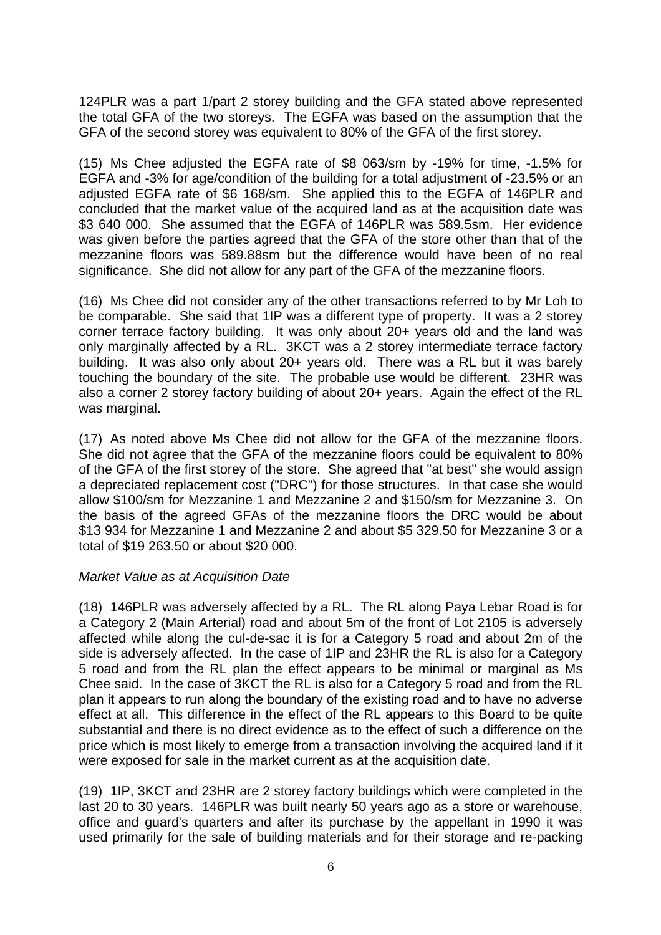124PLR was a part 1/part 2 storey building and the GFA stated above represented the total GFA of the two storeys. The EGFA was based on the assumption that the GFA of the second storey was equivalent to 80% of the GFA of the first storey.

(15) Ms Chee adjusted the EGFA rate of \$8 063/sm by -19% for time, -1.5% for EGFA and -3% for age/condition of the building for a total adjustment of -23.5% or an adjusted EGFA rate of \$6 168/sm. She applied this to the EGFA of 146PLR and concluded that the market value of the acquired land as at the acquisition date was \$3 640 000. She assumed that the EGFA of 146PLR was 589.5sm. Her evidence was given before the parties agreed that the GFA of the store other than that of the mezzanine floors was 589.88sm but the difference would have been of no real significance. She did not allow for any part of the GFA of the mezzanine floors.

(16) Ms Chee did not consider any of the other transactions referred to by Mr Loh to be comparable. She said that 1IP was a different type of property. It was a 2 storey corner terrace factory building. It was only about 20+ years old and the land was only marginally affected by a RL. 3KCT was a 2 storey intermediate terrace factory building. It was also only about 20+ years old. There was a RL but it was barely touching the boundary of the site. The probable use would be different. 23HR was also a corner 2 storey factory building of about 20+ years. Again the effect of the RL was marginal.

(17) As noted above Ms Chee did not allow for the GFA of the mezzanine floors. She did not agree that the GFA of the mezzanine floors could be equivalent to 80% of the GFA of the first storey of the store. She agreed that "at best" she would assign a depreciated replacement cost ("DRC") for those structures. In that case she would allow \$100/sm for Mezzanine 1 and Mezzanine 2 and \$150/sm for Mezzanine 3. On the basis of the agreed GFAs of the mezzanine floors the DRC would be about \$13 934 for Mezzanine 1 and Mezzanine 2 and about \$5 329.50 for Mezzanine 3 or a total of \$19 263.50 or about \$20 000.

# *Market Value as at Acquisition Date*

(18) 146PLR was adversely affected by a RL. The RL along Paya Lebar Road is for a Category 2 (Main Arterial) road and about 5m of the front of Lot 2105 is adversely affected while along the cul-de-sac it is for a Category 5 road and about 2m of the side is adversely affected. In the case of 1IP and 23HR the RL is also for a Category 5 road and from the RL plan the effect appears to be minimal or marginal as Ms Chee said. In the case of 3KCT the RL is also for a Category 5 road and from the RL plan it appears to run along the boundary of the existing road and to have no adverse effect at all. This difference in the effect of the RL appears to this Board to be quite substantial and there is no direct evidence as to the effect of such a difference on the price which is most likely to emerge from a transaction involving the acquired land if it were exposed for sale in the market current as at the acquisition date.

(19) 1IP, 3KCT and 23HR are 2 storey factory buildings which were completed in the last 20 to 30 years. 146PLR was built nearly 50 years ago as a store or warehouse, office and guard's quarters and after its purchase by the appellant in 1990 it was used primarily for the sale of building materials and for their storage and re-packing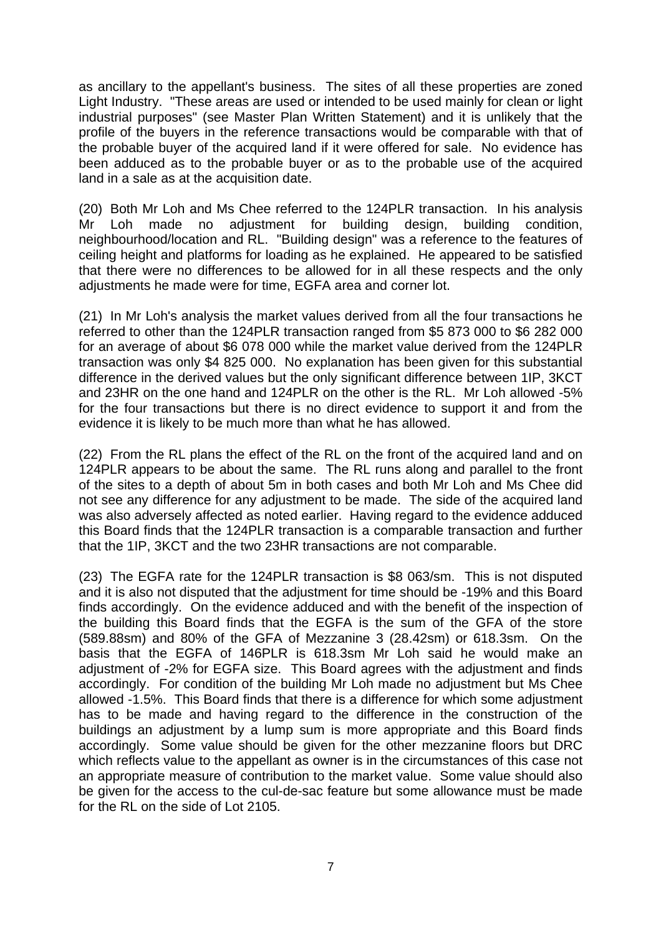as ancillary to the appellant's business. The sites of all these properties are zoned Light Industry. "These areas are used or intended to be used mainly for clean or light industrial purposes" (see Master Plan Written Statement) and it is unlikely that the profile of the buyers in the reference transactions would be comparable with that of the probable buyer of the acquired land if it were offered for sale. No evidence has been adduced as to the probable buyer or as to the probable use of the acquired land in a sale as at the acquisition date.

(20) Both Mr Loh and Ms Chee referred to the 124PLR transaction. In his analysis Mr Loh made no adjustment for building design, building condition, neighbourhood/location and RL. "Building design" was a reference to the features of ceiling height and platforms for loading as he explained. He appeared to be satisfied that there were no differences to be allowed for in all these respects and the only adjustments he made were for time, EGFA area and corner lot.

(21) In Mr Loh's analysis the market values derived from all the four transactions he referred to other than the 124PLR transaction ranged from \$5 873 000 to \$6 282 000 for an average of about \$6 078 000 while the market value derived from the 124PLR transaction was only \$4 825 000. No explanation has been given for this substantial difference in the derived values but the only significant difference between 1IP, 3KCT and 23HR on the one hand and 124PLR on the other is the RL. Mr Loh allowed -5% for the four transactions but there is no direct evidence to support it and from the evidence it is likely to be much more than what he has allowed.

(22) From the RL plans the effect of the RL on the front of the acquired land and on 124PLR appears to be about the same. The RL runs along and parallel to the front of the sites to a depth of about 5m in both cases and both Mr Loh and Ms Chee did not see any difference for any adjustment to be made. The side of the acquired land was also adversely affected as noted earlier. Having regard to the evidence adduced this Board finds that the 124PLR transaction is a comparable transaction and further that the 1IP, 3KCT and the two 23HR transactions are not comparable.

(23) The EGFA rate for the 124PLR transaction is \$8 063/sm. This is not disputed and it is also not disputed that the adjustment for time should be -19% and this Board finds accordingly. On the evidence adduced and with the benefit of the inspection of the building this Board finds that the EGFA is the sum of the GFA of the store (589.88sm) and 80% of the GFA of Mezzanine 3 (28.42sm) or 618.3sm. On the basis that the EGFA of 146PLR is 618.3sm Mr Loh said he would make an adjustment of -2% for EGFA size. This Board agrees with the adjustment and finds accordingly. For condition of the building Mr Loh made no adjustment but Ms Chee allowed -1.5%. This Board finds that there is a difference for which some adjustment has to be made and having regard to the difference in the construction of the buildings an adjustment by a lump sum is more appropriate and this Board finds accordingly. Some value should be given for the other mezzanine floors but DRC which reflects value to the appellant as owner is in the circumstances of this case not an appropriate measure of contribution to the market value. Some value should also be given for the access to the cul-de-sac feature but some allowance must be made for the RL on the side of Lot 2105.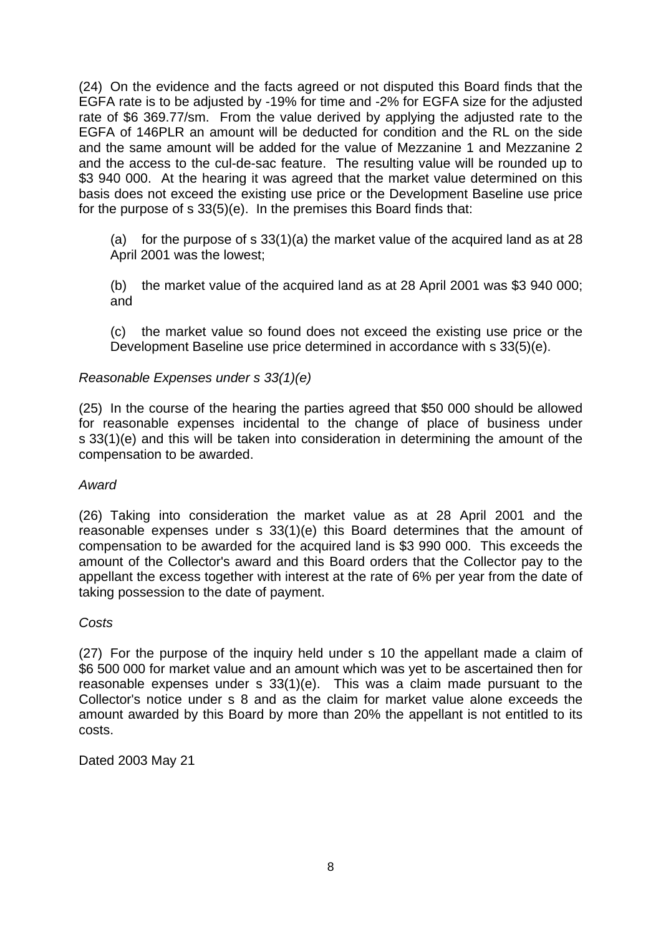(24) On the evidence and the facts agreed or not disputed this Board finds that the EGFA rate is to be adjusted by -19% for time and -2% for EGFA size for the adjusted rate of \$6 369.77/sm. From the value derived by applying the adjusted rate to the EGFA of 146PLR an amount will be deducted for condition and the RL on the side and the same amount will be added for the value of Mezzanine 1 and Mezzanine 2 and the access to the cul-de-sac feature. The resulting value will be rounded up to \$3 940 000. At the hearing it was agreed that the market value determined on this basis does not exceed the existing use price or the Development Baseline use price for the purpose of s 33(5)(e). In the premises this Board finds that:

(a) for the purpose of s  $33(1)(a)$  the market value of the acquired land as at 28 April 2001 was the lowest;

(b) the market value of the acquired land as at 28 April 2001 was \$3 940 000; and

(c) the market value so found does not exceed the existing use price or the Development Baseline use price determined in accordance with s 33(5)(e).

# *Reasonable Expenses under s 33(1)(e)*

(25) In the course of the hearing the parties agreed that \$50 000 should be allowed for reasonable expenses incidental to the change of place of business under s 33(1)(e) and this will be taken into consideration in determining the amount of the compensation to be awarded.

# *Award*

(26) Taking into consideration the market value as at 28 April 2001 and the reasonable expenses under s 33(1)(e) this Board determines that the amount of compensation to be awarded for the acquired land is \$3 990 000. This exceeds the amount of the Collector's award and this Board orders that the Collector pay to the appellant the excess together with interest at the rate of 6% per year from the date of taking possession to the date of payment.

# *Costs*

(27) For the purpose of the inquiry held under s 10 the appellant made a claim of \$6 500 000 for market value and an amount which was yet to be ascertained then for reasonable expenses under s 33(1)(e). This was a claim made pursuant to the Collector's notice under s 8 and as the claim for market value alone exceeds the amount awarded by this Board by more than 20% the appellant is not entitled to its costs.

Dated 2003 May 21